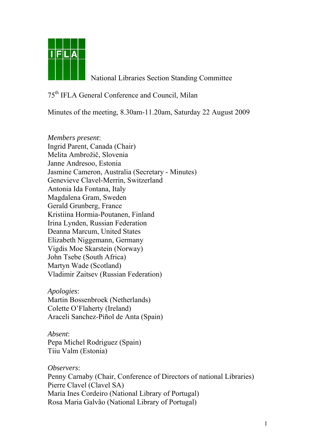

National Libraries Section Standing Committee

## 75th IFLA General Conference and Council, Milan

Minutes of the meeting, 8.30am-11.20am, Saturday 22 August 2009

*Members present*: Ingrid Parent, Canada (Chair) Melita Ambrožič, Slovenia Janne Andresoo, Estonia Jasmine Cameron, Australia (Secretary - Minutes) Genevieve Clavel-Merrin, Switzerland Antonia Ida Fontana, Italy Magdalena Gram, Sweden Gerald Grunberg, France Kristiina Hormia-Poutanen, Finland Irina Lynden, Russian Federation Deanna Marcum, United States Elizabeth Niggemann, Germany Vigdis Moe Skarstein (Norway) John Tsebe (South Africa) Martyn Wade (Scotland) Vladimir Zaitsev (Russian Federation)

*Apologies*: Martin Bossenbroek (Netherlands) Colette O'Flaherty (Ireland) Araceli Sanchez-Piñol de Anta (Spain)

*Absent*: Pepa Michel Rodriguez (Spain) Tiiu Valm (Estonia)

*Observers*: Penny Carnaby (Chair, Conference of Directors of national Libraries) Pierre Clavel (Clavel SA) Maria Ines Cordeiro (National Library of Portugal) Rosa Maria Galvão (National Library of Portugal)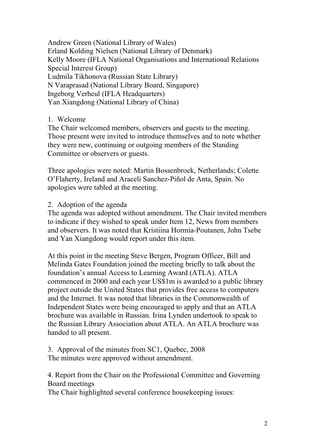Andrew Green (National Library of Wales) Erland Kolding Nielsen (National Library of Denmark) Kelly Moore (IFLA National Organisations and International Relations Special Interest Group) Ludmila Tikhonova (Russian State Library) N Varaprasad (National Library Board, Singapore) Ingeborg Verheul (IFLA Headquarters) Yan Xiangdong (National Library of China)

## 1. Welcome

The Chair welcomed members, observers and guests to the meeting. Those present were invited to introduce themselves and to note whether they were new, continuing or outgoing members of the Standing Committee or observers or guests.

Three apologies were noted: Martin Bossenbroek, Netherlands; Colette O'Flaherty, Ireland and Araceli Sanchez-Piñol de Anta, Spain. No apologies were tabled at the meeting.

## 2. Adoption of the agenda

The agenda was adopted without amendment. The Chair invited members to indicate if they wished to speak under Item 12, News from members and observers. It was noted that Kristiina Hormia-Poutanen, John Tsebe and Yan Xiangdong would report under this item.

At this point in the meeting Steve Bergen, Program Officer, Bill and Melinda Gates Foundation joined the meeting briefly to talk about the foundation's annual Access to Learning Award (ATLA). ATLA commenced in 2000 and each year US\$1m is awarded to a public library project outside the United States that provides free access to computers and the Internet. It was noted that libraries in the Commonwealth of Independent States were being encouraged to apply and that an ATLA brochure was available in Russian. Irina Lynden undertook to speak to the Russian Library Association about ATLA. An ATLA brochure was handed to all present.

3. Approval of the minutes from SC1, Quebec, 2008 The minutes were approved without amendment.

4. Report from the Chair on the Professional Committee and Governing Board meetings

The Chair highlighted several conference housekeeping issues: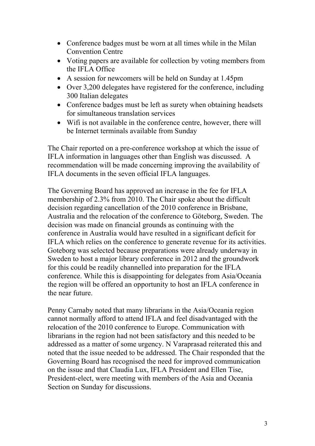- Conference badges must be worn at all times while in the Milan Convention Centre
- Voting papers are available for collection by voting members from the IFLA Office
- A session for newcomers will be held on Sunday at 1.45pm
- Over 3,200 delegates have registered for the conference, including 300 Italian delegates
- Conference badges must be left as surety when obtaining headsets for simultaneous translation services
- Wifi is not available in the conference centre, however, there will be Internet terminals available from Sunday

The Chair reported on a pre-conference workshop at which the issue of IFLA information in languages other than English was discussed. A recommendation will be made concerning improving the availability of IFLA documents in the seven official IFLA languages.

The Governing Board has approved an increase in the fee for IFLA membership of 2.3% from 2010. The Chair spoke about the difficult decision regarding cancellation of the 2010 conference in Brisbane, Australia and the relocation of the conference to Göteborg, Sweden. The decision was made on financial grounds as continuing with the conference in Australia would have resulted in a significant deficit for IFLA which relies on the conference to generate revenue for its activities. Goteborg was selected because preparations were already underway in Sweden to host a major library conference in 2012 and the groundwork for this could be readily channelled into preparation for the IFLA conference. While this is disappointing for delegates from Asia/Oceania the region will be offered an opportunity to host an IFLA conference in the near future.

Penny Carnaby noted that many librarians in the Asia/Oceania region cannot normally afford to attend IFLA and feel disadvantaged with the relocation of the 2010 conference to Europe. Communication with librarians in the region had not been satisfactory and this needed to be addressed as a matter of some urgency. N Varaprasad reiterated this and noted that the issue needed to be addressed. The Chair responded that the Governing Board has recognised the need for improved communication on the issue and that Claudia Lux, IFLA President and Ellen Tise, President-elect, were meeting with members of the Asia and Oceania Section on Sunday for discussions.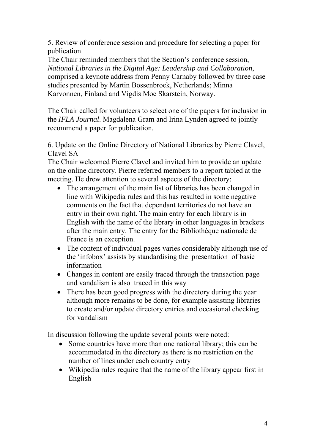5. Review of conference session and procedure for selecting a paper for publication

The Chair reminded members that the Section's conference session, *National Libraries in the Digital Age: Leadership and Collaboration*, comprised a keynote address from Penny Carnaby followed by three case studies presented by Martin Bossenbroek, Netherlands; Minna Karvonnen, Finland and Vigdis Moe Skarstein, Norway.

The Chair called for volunteers to select one of the papers for inclusion in the *IFLA Journal*. Magdalena Gram and Irina Lynden agreed to jointly recommend a paper for publication.

6. Update on the Online Directory of National Libraries by Pierre Clavel, Clavel SA

The Chair welcomed Pierre Clavel and invited him to provide an update on the online directory. Pierre referred members to a report tabled at the meeting. He drew attention to several aspects of the directory:

- The arrangement of the main list of libraries has been changed in line with Wikipedia rules and this has resulted in some negative comments on the fact that dependant territories do not have an entry in their own right. The main entry for each library is in English with the name of the library in other languages in brackets after the main entry. The entry for the Bibliothèque nationale de France is an exception.
- The content of individual pages varies considerably although use of the 'infobox' assists by standardising the presentation of basic information
- Changes in content are easily traced through the transaction page and vandalism is also traced in this way
- There has been good progress with the directory during the year although more remains to be done, for example assisting libraries to create and/or update directory entries and occasional checking for vandalism

In discussion following the update several points were noted:

- Some countries have more than one national library; this can be accommodated in the directory as there is no restriction on the number of lines under each country entry
- Wikipedia rules require that the name of the library appear first in English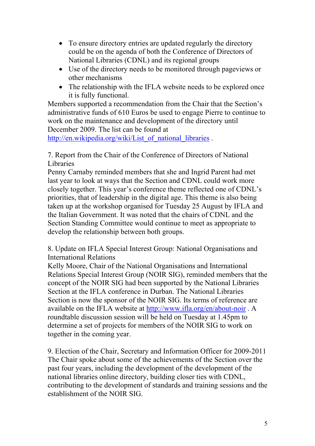- To ensure directory entries are updated regularly the directory could be on the agenda of both the Conference of Directors of National Libraries (CDNL) and its regional groups
- Use of the directory needs to be monitored through pageviews or other mechanisms
- The relationship with the IFLA website needs to be explored once it is fully functional.

Members supported a recommendation from the Chair that the Section's administrative funds of 610 Euros be used to engage Pierre to continue to work on the maintenance and development of the directory until December 2009. The list can be found at

[http://en.wikipedia.org/wiki/List\\_of\\_national\\_libraries](http://en.wikipedia.org/wiki/List_of_national_libraries) .

7. Report from the Chair of the Conference of Directors of National Libraries

Penny Carnaby reminded members that she and Ingrid Parent had met last year to look at ways that the Section and CDNL could work more closely together. This year's conference theme reflected one of CDNL's priorities, that of leadership in the digital age. This theme is also being taken up at the workshop organised for Tuesday 25 August by IFLA and the Italian Government. It was noted that the chairs of CDNL and the Section Standing Committee would continue to meet as appropriate to develop the relationship between both groups.

8. Update on IFLA Special Interest Group: National Organisations and International Relations

Kelly Moore, Chair of the National Organisations and International Relations Special Interest Group (NOIR SIG), reminded members that the concept of the NOIR SIG had been supported by the National Libraries Section at the IFLA conference in Durban. The National Libraries Section is now the sponsor of the NOIR SIG. Its terms of reference are available on the IFLA website at <http://www.ifla.org/en/about-noir> . A roundtable discussion session will be held on Tuesday at 1.45pm to determine a set of projects for members of the NOIR SIG to work on together in the coming year.

9. Election of the Chair, Secretary and Information Officer for 2009-2011 The Chair spoke about some of the achievements of the Section over the past four years, including the development of the development of the national libraries online directory, building closer ties with CDNL, contributing to the development of standards and training sessions and the establishment of the NOIR SIG.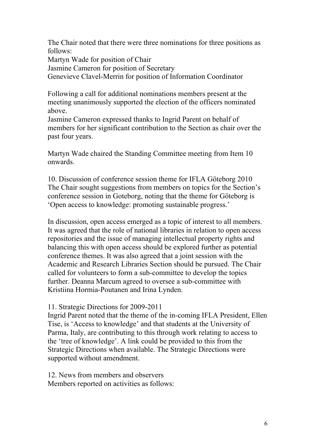The Chair noted that there were three nominations for three positions as follows:

Martyn Wade for position of Chair

Jasmine Cameron for position of Secretary

Genevieve Clavel-Merrin for position of Information Coordinator

Following a call for additional nominations members present at the meeting unanimously supported the election of the officers nominated above.

Jasmine Cameron expressed thanks to Ingrid Parent on behalf of members for her significant contribution to the Section as chair over the past four years.

Martyn Wade chaired the Standing Committee meeting from Item 10 onwards.

10. Discussion of conference session theme for IFLA Göteborg 2010 The Chair sought suggestions from members on topics for the Section's conference session in Goteborg, noting that the theme for Göteborg is 'Open access to knowledge: promoting sustainable progress.'

In discussion, open access emerged as a topic of interest to all members. It was agreed that the role of national libraries in relation to open access repositories and the issue of managing intellectual property rights and balancing this with open access should be explored further as potential conference themes. It was also agreed that a joint session with the Academic and Research Libraries Section should be pursued. The Chair called for volunteers to form a sub-committee to develop the topics further. Deanna Marcum agreed to oversee a sub-committee with Kristiina Hormia-Poutanen and Irina Lynden.

11. Strategic Directions for 2009-2011

Ingrid Parent noted that the theme of the in-coming IFLA President, Ellen Tise, is 'Access to knowledge' and that students at the University of Parma, Italy, are contributing to this through work relating to access to the 'tree of knowledge'. A link could be provided to this from the Strategic Directions when available. The Strategic Directions were supported without amendment.

12. News from members and observers Members reported on activities as follows: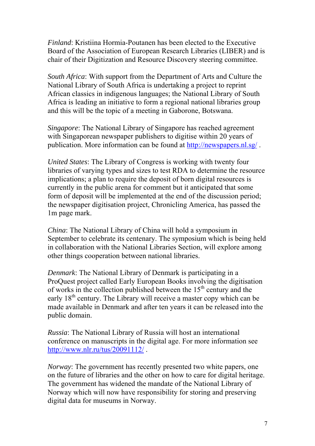*Finland*: Kristiina Hormia-Poutanen has been elected to the Executive Board of the Association of European Research Libraries (LIBER) and is chair of their Digitization and Resource Discovery steering committee.

*South Africa*: With support from the Department of Arts and Culture the National Library of South Africa is undertaking a project to reprint African classics in indigenous languages; the National Library of South Africa is leading an initiative to form a regional national libraries group and this will be the topic of a meeting in Gaborone, Botswana.

*Singapore*: The National Library of Singapore has reached agreement with Singaporean newspaper publishers to digitise within 20 years of publication. More information can be found at <http://newspapers.nl.sg/>.

*United States*: The Library of Congress is working with twenty four libraries of varying types and sizes to test RDA to determine the resource implications; a plan to require the deposit of born digital resources is currently in the public arena for comment but it anticipated that some form of deposit will be implemented at the end of the discussion period; the newspaper digitisation project, Chronicling America, has passed the 1m page mark.

*China*: The National Library of China will hold a symposium in September to celebrate its centenary. The symposium which is being held in collaboration with the National Libraries Section, will explore among other things cooperation between national libraries.

*Denmark*: The National Library of Denmark is participating in a ProQuest project called Early European Books involving the digitisation of works in the collection published between the  $15<sup>th</sup>$  century and the early  $18<sup>th</sup>$  century. The Library will receive a master copy which can be made available in Denmark and after ten years it can be released into the public domain.

*Russia*: The National Library of Russia will host an international conference on manuscripts in the digital age. For more information see <http://www.nlr.ru/tus/20091112/>.

*Norway*: The government has recently presented two white papers, one on the future of libraries and the other on how to care for digital heritage. The government has widened the mandate of the National Library of Norway which will now have responsibility for storing and preserving digital data for museums in Norway.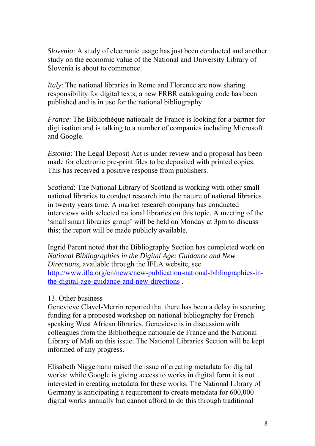*Slovenia*: A study of electronic usage has just been conducted and another study on the economic value of the National and University Library of Slovenia is about to commence.

*Italy*: The national libraries in Rome and Florence are now sharing responsibility for digital texts; a new FRBR cataloguing code has been published and is in use for the national bibliography.

*France*: The Bibliothèque nationale de France is looking for a partner for digitisation and is talking to a number of companies including Microsoft and Google.

*Estonia*: The Legal Deposit Act is under review and a proposal has been made for electronic pre-print files to be deposited with printed copies. This has received a positive response from publishers.

*Scotland*: The National Library of Scotland is working with other small national libraries to conduct research into the nature of national libraries in twenty years time. A market research company has conducted interviews with selected national libraries on this topic. A meeting of the 'small smart libraries group' will be held on Monday at 3pm to discuss this; the report will be made publicly available.

Ingrid Parent noted that the Bibliography Section has completed work on *National Bibliographies in the Digital Age: Guidance and New Directions*, available through the IFLA website, see [http://www.ifla.org/en/news/new-publication-national-bibliographies-in](http://www.ifla.org/en/news/new-publication-national-bibliographies-in-the-digital-age-guidance-and-new-directions)[the-digital-age-guidance-and-new-directions](http://www.ifla.org/en/news/new-publication-national-bibliographies-in-the-digital-age-guidance-and-new-directions) .

## 13. Other business

Genevieve Clavel-Merrin reported that there has been a delay in securing funding for a proposed workshop on national bibliography for French speaking West African libraries. Genevieve is in discussion with colleagues from the Bibliothèque nationale de France and the National Library of Mali on this issue. The National Libraries Section will be kept informed of any progress.

Elisabeth Niggemann raised the issue of creating metadata for digital works: while Google is giving access to works in digital form it is not interested in creating metadata for these works. The National Library of Germany is anticipating a requirement to create metadata for 600,000 digital works annually but cannot afford to do this through traditional